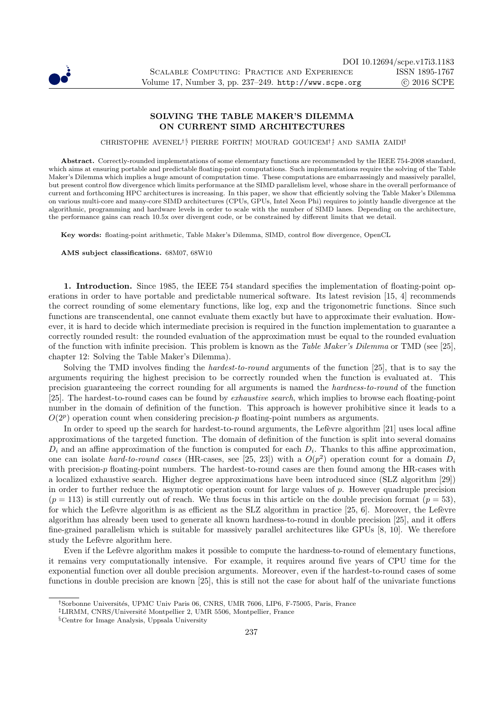

# SOLVING THE TABLE MAKER'S DILEMMA ON CURRENT SIMD ARCHITECTURES

CHRISTOPHE AVENEL<sup>†§</sup> PIERRE FORTIN<sup>†</sup> MOURAD GOUICEM<sup>†</sup><sup>‡</sup> AND SAMIA ZAIDI<sup>†</sup>

Abstract. Correctly-rounded implementations of some elementary functions are recommended by the IEEE 754-2008 standard, which aims at ensuring portable and predictable floating-point computations. Such implementations require the solving of the Table Maker's Dilemma which implies a huge amount of computation time. These computations are embarrassingly and massively parallel, but present control flow divergence which limits performance at the SIMD parallelism level, whose share in the overall performance of current and forthcoming HPC architectures is increasing. In this paper, we show that efficiently solving the Table Maker's Dilemma on various multi-core and many-core SIMD architectures (CPUs, GPUs, Intel Xeon Phi) requires to jointly handle divergence at the algorithmic, programming and hardware levels in order to scale with the number of SIMD lanes. Depending on the architecture, the performance gains can reach 10.5x over divergent code, or be constrained by different limits that we detail.

Key words: floating-point arithmetic, Table Maker's Dilemma, SIMD, control flow divergence, OpenCL

AMS subject classifications. 68M07, 68W10

1. Introduction. Since 1985, the IEEE 754 standard specifies the implementation of floating-point operations in order to have portable and predictable numerical software. Its latest revision [15, 4] recommends the correct rounding of some elementary functions, like log, exp and the trigonometric functions. Since such functions are transcendental, one cannot evaluate them exactly but have to approximate their evaluation. However, it is hard to decide which intermediate precision is required in the function implementation to guarantee a correctly rounded result: the rounded evaluation of the approximation must be equal to the rounded evaluation of the function with infinite precision. This problem is known as the Table Maker's Dilemma or TMD (see [25], chapter 12: Solving the Table Maker's Dilemma).

Solving the TMD involves finding the hardest-to-round arguments of the function [25], that is to say the arguments requiring the highest precision to be correctly rounded when the function is evaluated at. This precision guaranteeing the correct rounding for all arguments is named the hardness-to-round of the function [25]. The hardest-to-round cases can be found by exhaustive search, which implies to browse each floating-point number in the domain of definition of the function. This approach is however prohibitive since it leads to a  $O(2<sup>p</sup>)$  operation count when considering precision-p floating-point numbers as arguments.

In order to speed up the search for hardest-to-round arguments, the Lefèvre algorithm [21] uses local affine approximations of the targeted function. The domain of definition of the function is split into several domains  $D_i$  and an affine approximation of the function is computed for each  $D_i$ . Thanks to this affine approximation, one can isolate hard-to-round cases (HR-cases, see [25, 23]) with a  $O(p^2)$  operation count for a domain  $D_i$ with precision-p floating-point numbers. The hardest-to-round cases are then found among the HR-cases with a localized exhaustive search. Higher degree approximations have been introduced since (SLZ algorithm [29]) in order to further reduce the asymptotic operation count for large values of p. However quadruple precision  $(p = 113)$  is still currently out of reach. We thus focus in this article on the double precision format  $(p = 53)$ , for which the Lefèvre algorithm is as efficient as the SLZ algorithm in practice  $[25, 6]$ . Moreover, the Lefèvre algorithm has already been used to generate all known hardness-to-round in double precision [25], and it offers fine-grained parallelism which is suitable for massively parallel architectures like GPUs [8, 10]. We therefore study the Lefèvre algorithm here.

Even if the Lefèvre algorithm makes it possible to compute the hardness-to-round of elementary functions, it remains very computationally intensive. For example, it requires around five years of CPU time for the exponential function over all double precision arguments. Moreover, even if the hardest-to-round cases of some functions in double precision are known [25], this is still not the case for about half of the univariate functions

<sup>&</sup>lt;sup>†</sup>Sorbonne Universités, UPMC Univ Paris 06, CNRS, UMR 7606, LIP6, F-75005, Paris, France

<sup>&</sup>lt;sup>‡</sup>LIRMM, CNRS/Université Montpellier 2, UMR 5506, Montpellier, France

<sup>§</sup>Centre for Image Analysis, Uppsala University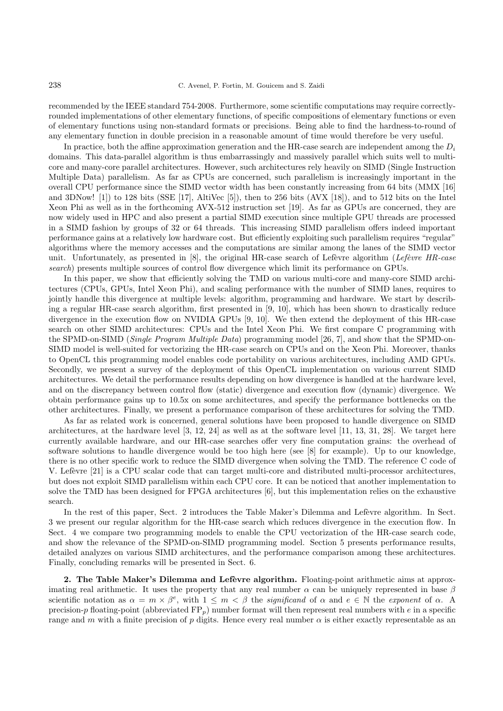recommended by the IEEE standard 754-2008. Furthermore, some scientific computations may require correctlyrounded implementations of other elementary functions, of specific compositions of elementary functions or even of elementary functions using non-standard formats or precisions. Being able to find the hardness-to-round of any elementary function in double precision in a reasonable amount of time would therefore be very useful.

In practice, both the affine approximation generation and the HR-case search are independent among the  $D_i$ domains. This data-parallel algorithm is thus embarrassingly and massively parallel which suits well to multicore and many-core parallel architectures. However, such architectures rely heavily on SIMD (Single Instruction Multiple Data) parallelism. As far as CPUs are concerned, such parallelism is increasingly important in the overall CPU performance since the SIMD vector width has been constantly increasing from 64 bits (MMX [16] and 3DNow! [1]) to 128 bits (SSE [17], AltiVec [5]), then to 256 bits (AVX [18]), and to 512 bits on the Intel Xeon Phi as well as in the forthcoming AVX-512 instruction set [19]. As far as GPUs are concerned, they are now widely used in HPC and also present a partial SIMD execution since multiple GPU threads are processed in a SIMD fashion by groups of 32 or 64 threads. This increasing SIMD parallelism offers indeed important performance gains at a relatively low hardware cost. But efficiently exploiting such parallelism requires "regular" algorithms where the memory accesses and the computations are similar among the lanes of the SIMD vector unit. Unfortunately, as presented in  $[8]$ , the original HR-case search of Lefèvre algorithm (Lefèvre HR-case search) presents multiple sources of control flow divergence which limit its performance on GPUs.

In this paper, we show that efficiently solving the TMD on various multi-core and many-core SIMD architectures (CPUs, GPUs, Intel Xeon Phi), and scaling performance with the number of SIMD lanes, requires to jointly handle this divergence at multiple levels: algorithm, programming and hardware. We start by describing a regular HR-case search algorithm, first presented in [9, 10], which has been shown to drastically reduce divergence in the execution flow on NVIDIA GPUs [9, 10]. We then extend the deployment of this HR-case search on other SIMD architectures: CPUs and the Intel Xeon Phi. We first compare C programming with the SPMD-on-SIMD (Single Program Multiple Data) programming model [26, 7], and show that the SPMD-on-SIMD model is well-suited for vectorizing the HR-case search on CPUs and on the Xeon Phi. Moreover, thanks to OpenCL this programming model enables code portability on various architectures, including AMD GPUs. Secondly, we present a survey of the deployment of this OpenCL implementation on various current SIMD architectures. We detail the performance results depending on how divergence is handled at the hardware level, and on the discrepancy between control flow (static) divergence and execution flow (dynamic) divergence. We obtain performance gains up to 10.5x on some architectures, and specify the performance bottlenecks on the other architectures. Finally, we present a performance comparison of these architectures for solving the TMD.

As far as related work is concerned, general solutions have been proposed to handle divergence on SIMD architectures, at the hardware level [3, 12, 24] as well as at the software level [11, 13, 31, 28]. We target here currently available hardware, and our HR-case searches offer very fine computation grains: the overhead of software solutions to handle divergence would be too high here (see [8] for example). Up to our knowledge, there is no other specific work to reduce the SIMD divergence when solving the TMD. The reference C code of V. Lefèvre [21] is a CPU scalar code that can target multi-core and distributed multi-processor architectures, but does not exploit SIMD parallelism within each CPU core. It can be noticed that another implementation to solve the TMD has been designed for FPGA architectures [6], but this implementation relies on the exhaustive search.

In the rest of this paper, Sect. 2 introduces the Table Maker's Dilemma and Lefèvre algorithm. In Sect. 3 we present our regular algorithm for the HR-case search which reduces divergence in the execution flow. In Sect. 4 we compare two programming models to enable the CPU vectorization of the HR-case search code, and show the relevance of the SPMD-on-SIMD programming model. Section 5 presents performance results, detailed analyzes on various SIMD architectures, and the performance comparison among these architectures. Finally, concluding remarks will be presented in Sect. 6.

2. The Table Maker's Dilemma and Lefèvre algorithm. Floating-point arithmetic aims at approximating real arithmetic. It uses the property that any real number  $\alpha$  can be uniquely represented in base  $\beta$ scientific notation as  $\alpha = m \times \beta^e$ , with  $1 \leq m \leq \beta$  the significand of  $\alpha$  and  $e \in \mathbb{N}$  the exponent of  $\alpha$ . A precision-p floating-point (abbreviated  $FP_p$ ) number format will then represent real numbers with e in a specific range and m with a finite precision of p digits. Hence every real number  $\alpha$  is either exactly representable as an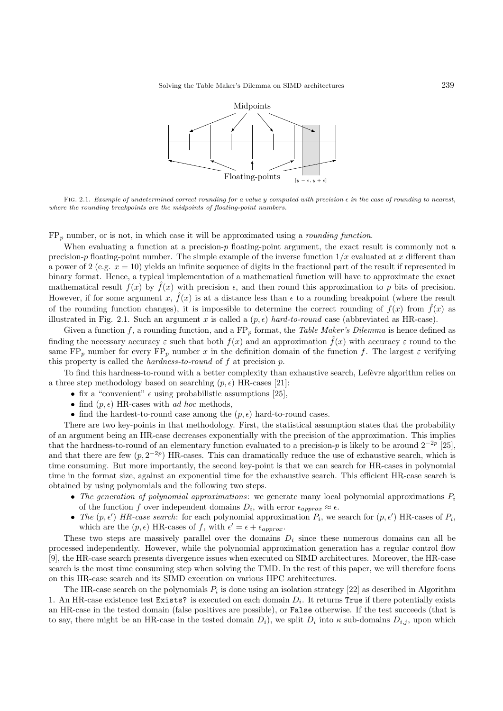

FIG. 2.1. Example of undetermined correct rounding for a value y computed with precision  $\epsilon$  in the case of rounding to nearest, where the rounding breakpoints are the midpoints of floating-point numbers.

 $FP<sub>p</sub>$  number, or is not, in which case it will be approximated using a *rounding function*.

When evaluating a function at a precision-p floating-point argument, the exact result is commonly not a precision-p floating-point number. The simple example of the inverse function  $1/x$  evaluated at x different than a power of 2 (e.g.  $x = 10$ ) yields an infinite sequence of digits in the fractional part of the result if represented in binary format. Hence, a typical implementation of a mathematical function will have to approximate the exact mathematical result  $f(x)$  by  $\hat{f}(x)$  with precision  $\epsilon$ , and then round this approximation to p bits of precision. However, if for some argument x,  $\hat{f}(x)$  is at a distance less than  $\epsilon$  to a rounding breakpoint (where the result of the rounding function changes), it is impossible to determine the correct rounding of  $f(x)$  from  $\hat{f}(x)$  as illustrated in Fig. 2.1. Such an argument x is called a  $(p, \epsilon)$  hard-to-round case (abbreviated as HR-case).

Given a function f, a rounding function, and a  $FP_p$  format, the Table Maker's Dilemma is hence defined as finding the necessary accuracy  $\varepsilon$  such that both  $f(x)$  and an approximation  $\hat{f}(x)$  with accuracy  $\varepsilon$  round to the same  $FP_p$  number for every  $FP_p$  number x in the definition domain of the function f. The largest  $\varepsilon$  verifying this property is called the hardness-to-round of f at precision p.

To find this hardness-to-round with a better complexity than exhaustive search, Lefèvre algorithm relies on a three step methodology based on searching  $(p, \epsilon)$  HR-cases [21]:

- fix a "convenient"  $\epsilon$  using probabilistic assumptions [25],
- find  $(p, \epsilon)$  HR-cases with ad hoc methods,
- find the hardest-to-round case among the  $(p, \epsilon)$  hard-to-round cases.

There are two key-points in that methodology. First, the statistical assumption states that the probability of an argument being an HR-case decreases exponentially with the precision of the approximation. This implies that the hardness-to-round of an elementary function evaluated to a precision-p is likely to be around  $2^{-2p}$  [25], and that there are few  $(p, 2^{-2p})$  HR-cases. This can dramatically reduce the use of exhaustive search, which is time consuming. But more importantly, the second key-point is that we can search for HR-cases in polynomial time in the format size, against an exponential time for the exhaustive search. This efficient HR-case search is obtained by using polynomials and the following two steps.

- The generation of polynomial approximations: we generate many local polynomial approximations  $P_i$ of the function f over independent domains  $D_i$ , with error  $\epsilon_{approx} \approx \epsilon$ .
- The  $(p, \epsilon')$  HR-case search: for each polynomial approximation  $P_i$ , we search for  $(p, \epsilon')$  HR-cases of  $P_i$ , which are the  $(p, \epsilon)$  HR-cases of f, with  $\epsilon' = \epsilon + \epsilon_{approx}$ .

These two steps are massively parallel over the domains  $D_i$  since these numerous domains can all be processed independently. However, while the polynomial approximation generation has a regular control flow [9], the HR-case search presents divergence issues when executed on SIMD architectures. Moreover, the HR-case search is the most time consuming step when solving the TMD. In the rest of this paper, we will therefore focus on this HR-case search and its SIMD execution on various HPC architectures.

The HR-case search on the polynomials  $P_i$  is done using an isolation strategy [22] as described in Algorithm 1. An HR-case existence test Exists? is executed on each domain  $D_i$ . It returns True if there potentially exists an HR-case in the tested domain (false positives are possible), or False otherwise. If the test succeeds (that is to say, there might be an HR-case in the tested domain  $D_i$ ), we split  $D_i$  into  $\kappa$  sub-domains  $D_{i,j}$ , upon which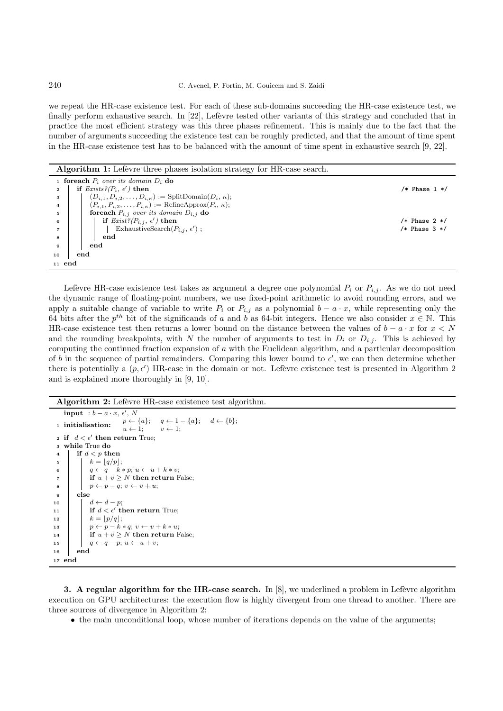## 240 C. Avenel, P. Fortin, M. Gouicem and S. Zaidi

we repeat the HR-case existence test. For each of these sub-domains succeeding the HR-case existence test, we finally perform exhaustive search. In  $[22]$ , Lefèvre tested other variants of this strategy and concluded that in practice the most efficient strategy was this three phases refinement. This is mainly due to the fact that the number of arguments succeeding the existence test can be roughly predicted, and that the amount of time spent in the HR-case existence test has to be balanced with the amount of time spent in exhaustive search [9, 22].

### Algorithm 1: Lefèvre three phases isolation strategy for HR-case search.

|                | <b>1</b> for each $P_i$ over its domain $D_i$ do                                |                   |
|----------------|---------------------------------------------------------------------------------|-------------------|
| $\mathbf{2}$   | if $Exists? (P_i, \epsilon')$ then                                              | $/*$ Phase 1 $*/$ |
| 3              | $(D_{i,1}, D_{i,2}, \ldots, D_{i,\kappa}) := \text{SplitDomain}(D_i, \kappa),$  |                   |
| $\overline{4}$ | $(P_{i,1}, P_{i,2}, \ldots, P_{i,\kappa}) := \text{RefineApprox}(P_i, \kappa);$ |                   |
| 5              | <b>for<br/>each</b> $P_{i,j}$ over its domain $D_{i,j}$ do                      |                   |
| 6              | if $Exist$ ? $(P_{i,j}, \epsilon')$ then                                        | $/*$ Phase 2 $*/$ |
| 7              | ExhaustiveSearch $(P_{i,j}, \epsilon')$ ;                                       | $/*$ Phase 3 $*/$ |
| 8              | end                                                                             |                   |
| 9              | end                                                                             |                   |
| 10             | end                                                                             |                   |
| $11$ end       |                                                                                 |                   |

Lefèvre HR-case existence test takes as argument a degree one polynomial  $P_i$  or  $P_{i,j}$ . As we do not need the dynamic range of floating-point numbers, we use fixed-point arithmetic to avoid rounding errors, and we apply a suitable change of variable to write  $P_i$  or  $P_{i,j}$  as a polynomial  $b - a \cdot x$ , while representing only the 64 bits after the  $p^{th}$  bit of the significands of a and b as 64-bit integers. Hence we also consider  $x \in \mathbb{N}$ . This HR-case existence test then returns a lower bound on the distance between the values of  $b - a \cdot x$  for  $x < N$ and the rounding breakpoints, with N the number of arguments to test in  $D_i$  or  $D_{i,j}$ . This is achieved by computing the continued fraction expansion of a with the Euclidean algorithm, and a particular decomposition of b in the sequence of partial remainders. Comparing this lower bound to  $\epsilon'$ , we can then determine whether there is potentially a  $(p, \epsilon')$  HR-case in the domain or not. Lefèvre existence test is presented in Algorithm 2 and is explained more thoroughly in [9, 10].

## Algorithm 2: Lefèvre HR-case existence test algorithm.

```
input : b - a \cdot x, \, \epsilon', \, N1 initialisation: p \leftarrow \{a\}; q \leftarrow 1 - \{a\}; d \leftarrow \{b\};<br>u \leftarrow 1; v \leftarrow 1;v \leftarrow 1;2 if d < \epsilon' then return True;
 3 while True do
 4 if d < p then
 \mathfrak{s} k = \lfloor q/p \rfloor;6 | q \leftarrow q - k * p; u \leftarrow u + k * v;7 if u + v \geq N then return False;
 \begin{array}{c|c|c|c} \mathbf{s} & & p \leftarrow p - q; \ v \leftarrow v + u; \end{array}9 else
10 \vert \vert \vert d \leftarrow d - p;11 if d < \epsilon' then return True;
12 \vert \vert \ k = \lfloor p/q \rfloor;13 \vert \vert p \leftarrow p - k * q; v \leftarrow v + k * u;14 if u + v \geq N then return False;
15 q \leftarrow q - p; u \leftarrow u + v;16 end
17 end
```
3. A regular algorithm for the HR-case search. In  $[8]$ , we underlined a problem in Lefevre algorithm execution on GPU architectures: the execution flow is highly divergent from one thread to another. There are three sources of divergence in Algorithm 2:

• the main unconditional loop, whose number of iterations depends on the value of the arguments;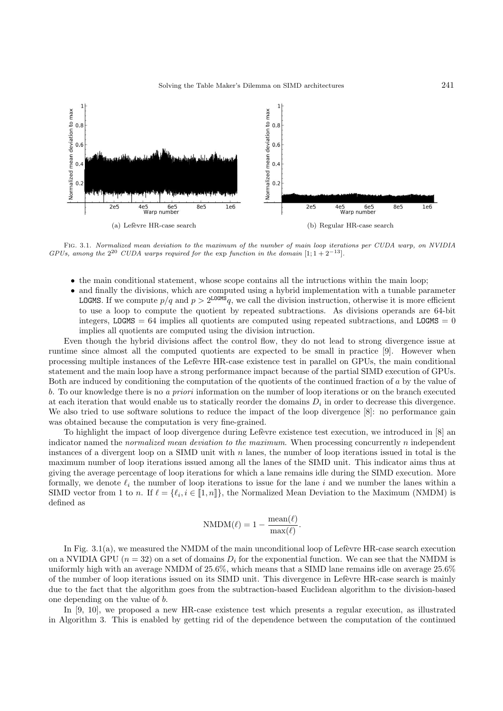

Fig. 3.1. Normalized mean deviation to the maximum of the number of main loop iterations per CUDA warp, on NVIDIA GPUs, among the  $2^{20}$  CUDA warps required for the exp function in the domain  $[1; 1+2^{-13}]$ .

- the main conditional statement, whose scope contains all the intructions within the main loop;
- and finally the divisions, which are computed using a hybrid implementation with a tunable parameter **LOGMS**. If we compute  $p/q$  and  $p > 2^{\text{LOGMS}}q$ , we call the division instruction, otherwise it is more efficient to use a loop to compute the quotient by repeated subtractions. As divisions operands are 64-bit integers, LOGMS =  $64$  implies all quotients are computed using repeated subtractions, and LOGMS = 0 implies all quotients are computed using the division intruction.

Even though the hybrid divisions affect the control flow, they do not lead to strong divergence issue at runtime since almost all the computed quotients are expected to be small in practice [9]. However when processing multiple instances of the Lef`evre HR-case existence test in parallel on GPUs, the main conditional statement and the main loop have a strong performance impact because of the partial SIMD execution of GPUs. Both are induced by conditioning the computation of the quotients of the continued fraction of a by the value of b. To our knowledge there is no a priori information on the number of loop iterations or on the branch executed at each iteration that would enable us to statically reorder the domains  $D_i$  in order to decrease this divergence. We also tried to use software solutions to reduce the impact of the loop divergence [8]: no performance gain was obtained because the computation is very fine-grained.

To highlight the impact of loop divergence during Lefevre existence test execution, we introduced in [8] an indicator named the normalized mean deviation to the maximum. When processing concurrently n independent instances of a divergent loop on a SIMD unit with  $n$  lanes, the number of loop iterations issued in total is the maximum number of loop iterations issued among all the lanes of the SIMD unit. This indicator aims thus at giving the average percentage of loop iterations for which a lane remains idle during the SIMD execution. More formally, we denote  $\ell_i$  the number of loop iterations to issue for the lane i and we number the lanes within a SIMD vector from 1 to n. If  $\ell = \{\ell_i, i \in [\![1,n]\!] \}$ , the Normalized Mean Deviation to the Maximum (NMDM) is defined as

$$
\text{NMDM}(\ell) = 1 - \frac{\text{mean}(\ell)}{\text{max}(\ell)}.
$$

In Fig.  $3.1(a)$ , we measured the NMDM of the main unconditional loop of Lefèvre HR-case search execution on a NVIDIA GPU  $(n = 32)$  on a set of domains  $D_i$  for the exponential function. We can see that the NMDM is uniformly high with an average NMDM of 25.6%, which means that a SIMD lane remains idle on average 25.6% of the number of loop iterations issued on its SIMD unit. This divergence in Lef`evre HR-case search is mainly due to the fact that the algorithm goes from the subtraction-based Euclidean algorithm to the division-based one depending on the value of b.

In [9, 10], we proposed a new HR-case existence test which presents a regular execution, as illustrated in Algorithm 3. This is enabled by getting rid of the dependence between the computation of the continued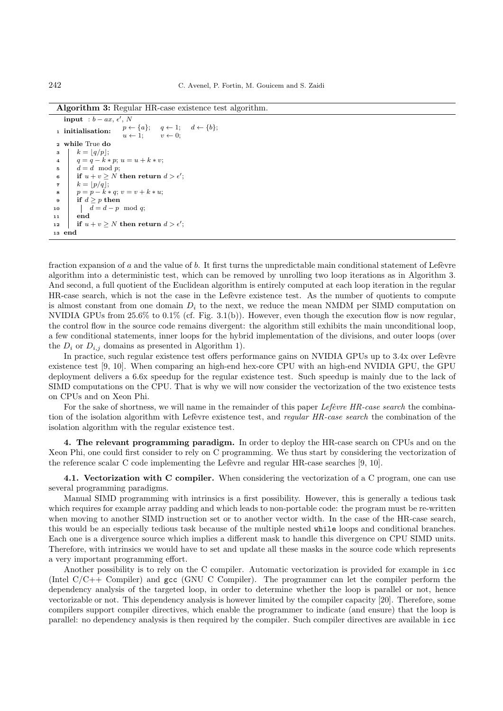Algorithm 3: Regular HR-case existence test algorithm.

```
input : b - ax, \epsilon', N
 1 initialisation: p \leftarrow \{a\}; \quad q \leftarrow 1; \quad d \leftarrow \{b\};<br>u \leftarrow 1; \quad v \leftarrow 0;p \leftarrow \{a\};<br>u \leftarrow 1;2 while True do
 \mathbf{s} \quad | \quad k = \lfloor q/p \rfloor;4 q = q - k * p; u = u + k * v;d = d \mod p;6 if u + v \geq N then return d > \epsilon';
 \tau k = \lfloor p/q \rfloor;\begin{array}{ll} \mathbf{s} & p = \bar{p} - \bar{k} * q; v = v + k * u; \end{array}9 if d > p then
10 \begin{array}{|c|c|} \hline \end{array} d = d - p mod q;
11 end
12 if u + v \geq N then return d > \epsilon';
13 end
```
fraction expansion of a and the value of b. It first turns the unpredictable main conditional statement of Lefèvre algorithm into a deterministic test, which can be removed by unrolling two loop iterations as in Algorithm 3. And second, a full quotient of the Euclidean algorithm is entirely computed at each loop iteration in the regular HR-case search, which is not the case in the Lefèvre existence test. As the number of quotients to compute is almost constant from one domain  $D_i$  to the next, we reduce the mean NMDM per SIMD computation on NVIDIA GPUs from  $25.6\%$  to  $0.1\%$  (cf. Fig. 3.1(b)). However, even though the execution flow is now regular, the control flow in the source code remains divergent: the algorithm still exhibits the main unconditional loop, a few conditional statements, inner loops for the hybrid implementation of the divisions, and outer loops (over the  $D_i$  or  $D_{i,j}$  domains as presented in Algorithm 1).

In practice, such regular existence test offers performance gains on NVIDIA GPUs up to 3.4x over Lefèvre existence test [9, 10]. When comparing an high-end hex-core CPU with an high-end NVIDIA GPU, the GPU deployment delivers a 6.6x speedup for the regular existence test. Such speedup is mainly due to the lack of SIMD computations on the CPU. That is why we will now consider the vectorization of the two existence tests on CPUs and on Xeon Phi.

For the sake of shortness, we will name in the remainder of this paper Lefèvre HR-case search the combination of the isolation algorithm with Lefèvre existence test, and *regular HR-case search* the combination of the isolation algorithm with the regular existence test.

4. The relevant programming paradigm. In order to deploy the HR-case search on CPUs and on the Xeon Phi, one could first consider to rely on C programming. We thus start by considering the vectorization of the reference scalar C code implementing the Lefèvre and regular  $HR$ -case searches [9, 10].

4.1. Vectorization with C compiler. When considering the vectorization of a C program, one can use several programming paradigms.

Manual SIMD programming with intrinsics is a first possibility. However, this is generally a tedious task which requires for example array padding and which leads to non-portable code: the program must be re-written when moving to another SIMD instruction set or to another vector width. In the case of the HR-case search, this would be an especially tedious task because of the multiple nested while loops and conditional branches. Each one is a divergence source which implies a different mask to handle this divergence on CPU SIMD units. Therefore, with intrinsics we would have to set and update all these masks in the source code which represents a very important programming effort.

Another possibility is to rely on the C compiler. Automatic vectorization is provided for example in icc (Intel C/C++ Compiler) and gcc (GNU C Compiler). The programmer can let the compiler perform the dependency analysis of the targeted loop, in order to determine whether the loop is parallel or not, hence vectorizable or not. This dependency analysis is however limited by the compiler capacity [20]. Therefore, some compilers support compiler directives, which enable the programmer to indicate (and ensure) that the loop is parallel: no dependency analysis is then required by the compiler. Such compiler directives are available in icc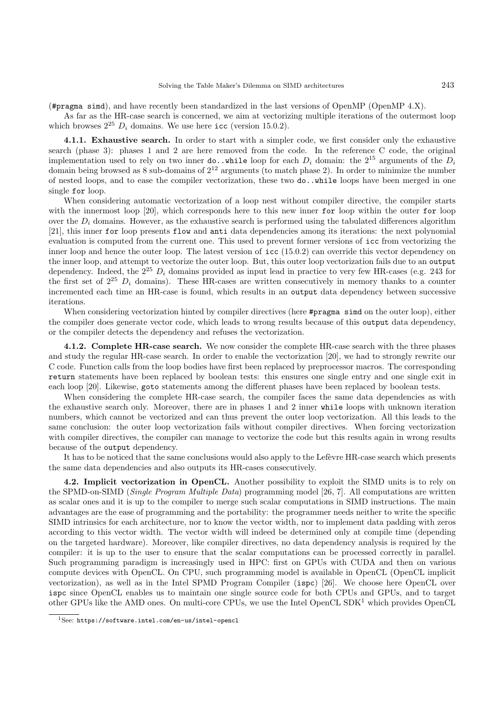(#pragma simd), and have recently been standardized in the last versions of OpenMP (OpenMP 4.X).

As far as the HR-case search is concerned, we aim at vectorizing multiple iterations of the outermost loop which browses  $2^{25}$  D<sub>i</sub> domains. We use here icc (version 15.0.2).

4.1.1. Exhaustive search. In order to start with a simpler code, we first consider only the exhaustive search (phase 3): phases 1 and 2 are here removed from the code. In the reference C code, the original implementation used to rely on two inner do..while loop for each  $D_i$  domain: the  $2^{15}$  arguments of the  $D_i$ domain being browsed as  $8$  sub-domains of  $2^{12}$  arguments (to match phase 2). In order to minimize the number of nested loops, and to ease the compiler vectorization, these two do..while loops have been merged in one single for loop.

When considering automatic vectorization of a loop nest without compiler directive, the compiler starts with the innermost loop [20], which corresponds here to this new inner for loop within the outer for loop over the  $D_i$  domains. However, as the exhaustive search is performed using the tabulated differences algorithm [21], this inner for loop presents flow and anti data dependencies among its iterations: the next polynomial evaluation is computed from the current one. This used to prevent former versions of icc from vectorizing the inner loop and hence the outer loop. The latest version of icc (15.0.2) can override this vector dependency on the inner loop, and attempt to vectorize the outer loop. But, this outer loop vectorization fails due to an output dependency. Indeed, the  $2^{25} D_i$  domains provided as input lead in practice to very few HR-cases (e.g. 243 for the first set of  $2^{25}$   $D_i$  domains). These HR-cases are written consecutively in memory thanks to a counter incremented each time an HR-case is found, which results in an output data dependency between successive iterations.

When considering vectorization hinted by compiler directives (here **#pragma** simd on the outer loop), either the compiler does generate vector code, which leads to wrong results because of this output data dependency, or the compiler detects the dependency and refuses the vectorization.

4.1.2. Complete HR-case search. We now consider the complete HR-case search with the three phases and study the regular HR-case search. In order to enable the vectorization [20], we had to strongly rewrite our C code. Function calls from the loop bodies have first been replaced by preprocessor macros. The corresponding return statements have been replaced by boolean tests: this ensures one single entry and one single exit in each loop [20]. Likewise, goto statements among the different phases have been replaced by boolean tests.

When considering the complete HR-case search, the compiler faces the same data dependencies as with the exhaustive search only. Moreover, there are in phases 1 and 2 inner while loops with unknown iteration numbers, which cannot be vectorized and can thus prevent the outer loop vectorization. All this leads to the same conclusion: the outer loop vectorization fails without compiler directives. When forcing vectorization with compiler directives, the compiler can manage to vectorize the code but this results again in wrong results because of the output dependency.

It has to be noticed that the same conclusions would also apply to the Lefèvre HR-case search which presents the same data dependencies and also outputs its HR-cases consecutively.

4.2. Implicit vectorization in OpenCL. Another possibility to exploit the SIMD units is to rely on the SPMD-on-SIMD (Single Program Multiple Data) programming model [26, 7]. All computations are written as scalar ones and it is up to the compiler to merge such scalar computations in SIMD instructions. The main advantages are the ease of programming and the portability: the programmer needs neither to write the specific SIMD intrinsics for each architecture, nor to know the vector width, nor to implement data padding with zeros according to this vector width. The vector width will indeed be determined only at compile time (depending on the targeted hardware). Moreover, like compiler directives, no data dependency analysis is required by the compiler: it is up to the user to ensure that the scalar computations can be processed correctly in parallel. Such programming paradigm is increasingly used in HPC: first on GPUs with CUDA and then on various compute devices with OpenCL. On CPU, such programming model is available in OpenCL (OpenCL implicit vectorization), as well as in the Intel SPMD Program Compiler (ispc) [26]. We choose here OpenCL over ispc since OpenCL enables us to maintain one single source code for both CPUs and GPUs, and to target other GPUs like the AMD ones. On multi-core CPUs, we use the Intel OpenCL  $SDK<sup>1</sup>$  which provides OpenCL

<sup>1</sup>See: https://software.intel.com/en-us/intel-opencl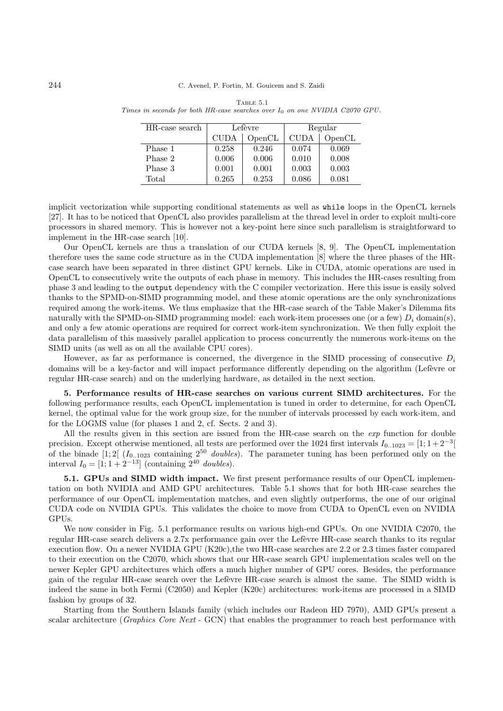| HR-case search | Lefèvre     |        | Regular     |        |
|----------------|-------------|--------|-------------|--------|
|                | <b>CUDA</b> | OpenCL | <b>CUDA</b> | OpenCL |
| Phase 1        | 0.258       | 0.246  | 0.074       | 0.069  |
| Phase 2        | 0.006       | 0.006  | 0.010       | 0.008  |
| Phase 3        | 0.001       | 0.001  | 0.003       | 0.003  |
| Total          | 0.265       | 0.253  | 0.086       | 0.081  |

Table 5.1 Times in seconds for both HR-case searches over  $I_0$  on one NVIDIA C2070 GPU.

implicit vectorization while supporting conditional statements as well as while loops in the OpenCL kernels [27]. It has to be noticed that OpenCL also provides parallelism at the thread level in order to exploit multi-core processors in shared memory. This is however not a key-point here since such parallelism is straightforward to implement in the HR-case search [10].

Our OpenCL kernels are thus a translation of our CUDA kernels [8, 9]. The OpenCL implementation therefore uses the same code structure as in the CUDA implementation [8] where the three phases of the HRcase search have been separated in three distinct GPU kernels. Like in CUDA, atomic operations are used in OpenCL to consecutively write the outputs of each phase in memory. This includes the HR-cases resulting from phase 3 and leading to the output dependency with the C compiler vectorization. Here this issue is easily solved thanks to the SPMD-on-SIMD programming model, and these atomic operations are the only synchronizations required among the work-items. We thus emphasize that the HR-case search of the Table Maker's Dilemma fits naturally with the SPMD-on-SIMD programming model: each work-item processes one (or a few)  $D_i$  domain(s), and only a few atomic operations are required for correct work-item synchronization. We then fully exploit the data parallelism of this massively parallel application to process concurrently the numerous work-items on the SIMD units (as well as on all the available CPU cores).

However, as far as performance is concerned, the divergence in the SIMD processing of consecutive  $D_i$ domains will be a key-factor and will impact performance differently depending on the algorithm (Lefèvre or regular HR-case search) and on the underlying hardware, as detailed in the next section.

5. Performance results of HR-case searches on various current SIMD architectures. For the following performance results, each OpenCL implementation is tuned in order to determine, for each OpenCL kernel, the optimal value for the work group size, for the number of intervals processed by each work-item, and for the LOGMS value (for phases 1 and 2, cf. Sects. 2 and 3).

All the results given in this section are issued from the HR-case search on the exp function for double precision. Except otherwise mentioned, all tests are performed over the 1024 first intervals  $I_{0..1023} = [1; 1+2^{-3}]$ of the binade  $[1; 2]$  ( $I_{0..1023}$  containing  $2^{50}$  *doubles*). The parameter tuning has been performed only on the interval  $I_0 = [1, 1 + 2^{-13}]$  (containing  $2^{40}$  doubles).

5.1. GPUs and SIMD width impact. We first present performance results of our OpenCL implementation on both NVIDIA and AMD GPU architectures. Table 5.1 shows that for both HR-case searches the performance of our OpenCL implementation matches, and even slightly outperforms, the one of our original CUDA code on NVIDIA GPUs. This validates the choice to move from CUDA to OpenCL even on NVIDIA GPUs.

We now consider in Fig. 5.1 performance results on various high-end GPUs. On one NVIDIA C2070, the regular HR-case search delivers a 2.7x performance gain over the Lefèvre HR-case search thanks to its regular execution flow. On a newer NVIDIA GPU (K20c),the two HR-case searches are 2.2 or 2.3 times faster compared to their execution on the C2070, which shows that our HR-case search GPU implementation scales well on the newer Kepler GPU architectures which offers a much higher number of GPU cores. Besides, the performance gain of the regular HR-case search over the Lefèvre HR-case search is almost the same. The SIMD width is indeed the same in both Fermi (C2050) and Kepler (K20c) architectures: work-items are processed in a SIMD fashion by groups of 32.

Starting from the Southern Islands family (which includes our Radeon HD 7970), AMD GPUs present a scalar architecture (Graphics Core Next - GCN) that enables the programmer to reach best performance with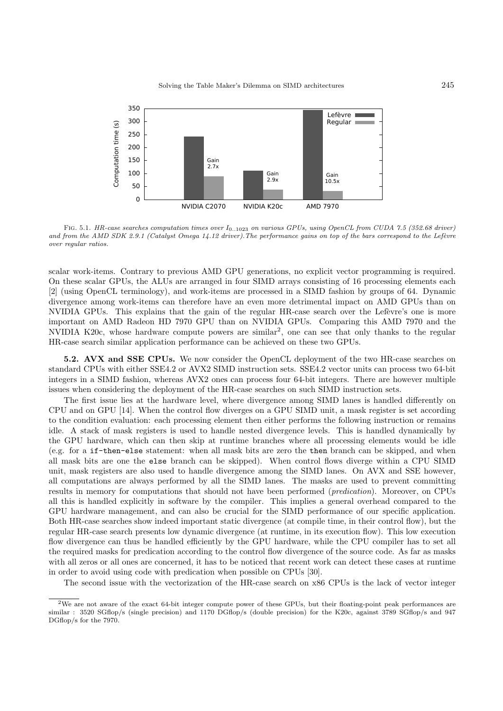

FIG. 5.1. HR-case searches computation times over  $I_{0..1023}$  on various GPUs, using OpenCL from CUDA 7.5 (352.68 driver) and from the AMD SDK 2.9.1 (Catalyst Omega 14.12 driver). The performance gains on top of the bars correspond to the Lefèvre over regular ratios.

scalar work-items. Contrary to previous AMD GPU generations, no explicit vector programming is required. On these scalar GPUs, the ALUs are arranged in four SIMD arrays consisting of 16 processing elements each [2] (using OpenCL terminology), and work-items are processed in a SIMD fashion by groups of 64. Dynamic divergence among work-items can therefore have an even more detrimental impact on AMD GPUs than on NVIDIA GPUs. This explains that the gain of the regular HR-case search over the Lefèvre's one is more important on AMD Radeon HD 7970 GPU than on NVIDIA GPUs. Comparing this AMD 7970 and the NVIDIA K20c, whose hardware compute powers are similar<sup>2</sup>, one can see that only thanks to the regular HR-case search similar application performance can be achieved on these two GPUs.

5.2. AVX and SSE CPUs. We now consider the OpenCL deployment of the two HR-case searches on standard CPUs with either SSE4.2 or AVX2 SIMD instruction sets. SSE4.2 vector units can process two 64-bit integers in a SIMD fashion, whereas AVX2 ones can process four 64-bit integers. There are however multiple issues when considering the deployment of the HR-case searches on such SIMD instruction sets.

The first issue lies at the hardware level, where divergence among SIMD lanes is handled differently on CPU and on GPU [14]. When the control flow diverges on a GPU SIMD unit, a mask register is set according to the condition evaluation: each processing element then either performs the following instruction or remains idle. A stack of mask registers is used to handle nested divergence levels. This is handled dynamically by the GPU hardware, which can then skip at runtime branches where all processing elements would be idle (e.g. for a if-then-else statement: when all mask bits are zero the then branch can be skipped, and when all mask bits are one the else branch can be skipped). When control flows diverge within a CPU SIMD unit, mask registers are also used to handle divergence among the SIMD lanes. On AVX and SSE however, all computations are always performed by all the SIMD lanes. The masks are used to prevent committing results in memory for computations that should not have been performed (*predication*). Moreover, on CPUs all this is handled explicitly in software by the compiler. This implies a general overhead compared to the GPU hardware management, and can also be crucial for the SIMD performance of our specific application. Both HR-case searches show indeed important static divergence (at compile time, in their control flow), but the regular HR-case search presents low dynamic divergence (at runtime, in its execution flow). This low execution flow divergence can thus be handled efficiently by the GPU hardware, while the CPU compiler has to set all the required masks for predication according to the control flow divergence of the source code. As far as masks with all zeros or all ones are concerned, it has to be noticed that recent work can detect these cases at runtime in order to avoid using code with predication when possible on CPUs [30].

The second issue with the vectorization of the HR-case search on x86 CPUs is the lack of vector integer

<sup>2</sup>We are not aware of the exact 64-bit integer compute power of these GPUs, but their floating-point peak performances are similar : 3520 SGflop/s (single precision) and 1170 DGflop/s (double precision) for the K20c, against 3789 SGflop/s and 947 DGflop/s for the 7970.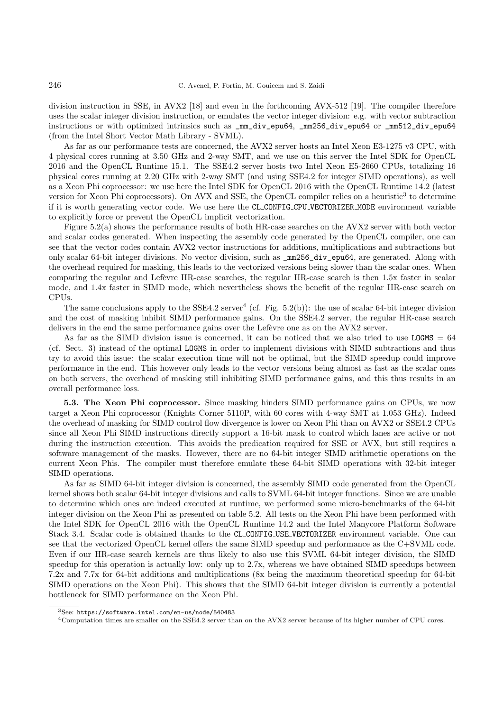division instruction in SSE, in AVX2 [18] and even in the forthcoming AVX-512 [19]. The compiler therefore uses the scalar integer division instruction, or emulates the vector integer division: e.g. with vector subtraction instructions or with optimized intrinsics such as \_mm\_div\_epu64, \_mm256\_div\_epu64 or \_mm512\_div\_epu64 (from the Intel Short Vector Math Library - SVML).

As far as our performance tests are concerned, the AVX2 server hosts an Intel Xeon E3-1275 v3 CPU, with 4 physical cores running at 3.50 GHz and 2-way SMT, and we use on this server the Intel SDK for OpenCL 2016 and the OpenCL Runtime 15.1. The SSE4.2 server hosts two Intel Xeon E5-2660 CPUs, totalizing 16 physical cores running at 2.20 GHz with 2-way SMT (and using SSE4.2 for integer SIMD operations), as well as a Xeon Phi coprocessor: we use here the Intel SDK for OpenCL 2016 with the OpenCL Runtime 14.2 (latest version for Xeon Phi coprocessors). On AVX and SSE, the OpenCL compiler relies on a heuristic<sup>3</sup> to determine if it is worth generating vector code. We use here the CL CONFIG CPU VECTORIZER MODE environment variable to explicitly force or prevent the OpenCL implicit vectorization.

Figure 5.2(a) shows the performance results of both HR-case searches on the AVX2 server with both vector and scalar codes generated. When inspecting the assembly code generated by the OpenCL compiler, one can see that the vector codes contain AVX2 vector instructions for additions, multiplications and subtractions but only scalar 64-bit integer divisions. No vector division, such as \_mm256\_div\_epu64, are generated. Along with the overhead required for masking, this leads to the vectorized versions being slower than the scalar ones. When comparing the regular and Lefèvre HR-case searches, the regular HR-case search is then 1.5x faster in scalar mode, and 1.4x faster in SIMD mode, which nevertheless shows the benefit of the regular HR-case search on CPUs.

The same conclusions apply to the  $SSE4.2$  server<sup>4</sup> (cf. Fig. 5.2(b)): the use of scalar 64-bit integer division and the cost of masking inhibit SIMD performance gains. On the SSE4.2 server, the regular HR-case search delivers in the end the same performance gains over the Lefèvre one as on the AVX2 server.

As far as the SIMD division issue is concerned, it can be noticed that we also tried to use  $LOGMS = 64$ (cf. Sect. 3) instead of the optimal LOGMS in order to implement divisions with SIMD subtractions and thus try to avoid this issue: the scalar execution time will not be optimal, but the SIMD speedup could improve performance in the end. This however only leads to the vector versions being almost as fast as the scalar ones on both servers, the overhead of masking still inhibiting SIMD performance gains, and this thus results in an overall performance loss.

5.3. The Xeon Phi coprocessor. Since masking hinders SIMD performance gains on CPUs, we now target a Xeon Phi coprocessor (Knights Corner 5110P, with 60 cores with 4-way SMT at 1.053 GHz). Indeed the overhead of masking for SIMD control flow divergence is lower on Xeon Phi than on AVX2 or SSE4.2 CPUs since all Xeon Phi SIMD instructions directly support a 16-bit mask to control which lanes are active or not during the instruction execution. This avoids the predication required for SSE or AVX, but still requires a software management of the masks. However, there are no 64-bit integer SIMD arithmetic operations on the current Xeon Phis. The compiler must therefore emulate these 64-bit SIMD operations with 32-bit integer SIMD operations.

As far as SIMD 64-bit integer division is concerned, the assembly SIMD code generated from the OpenCL kernel shows both scalar 64-bit integer divisions and calls to SVML 64-bit integer functions. Since we are unable to determine which ones are indeed executed at runtime, we performed some micro-benchmarks of the 64-bit integer division on the Xeon Phi as presented on table 5.2. All tests on the Xeon Phi have been performed with the Intel SDK for OpenCL 2016 with the OpenCL Runtime 14.2 and the Intel Manycore Platform Software Stack 3.4. Scalar code is obtained thanks to the CL CONFIG USE VECTORIZER environment variable. One can see that the vectorized OpenCL kernel offers the same SIMD speedup and performance as the C+SVML code. Even if our HR-case search kernels are thus likely to also use this SVML 64-bit integer division, the SIMD speedup for this operation is actually low: only up to 2.7x, whereas we have obtained SIMD speedups between 7.2x and 7.7x for 64-bit additions and multiplications (8x being the maximum theoretical speedup for 64-bit SIMD operations on the Xeon Phi). This shows that the SIMD 64-bit integer division is currently a potential bottleneck for SIMD performance on the Xeon Phi.

<sup>3</sup>See: https://software.intel.com/en-us/node/540483

<sup>4</sup>Computation times are smaller on the SSE4.2 server than on the AVX2 server because of its higher number of CPU cores.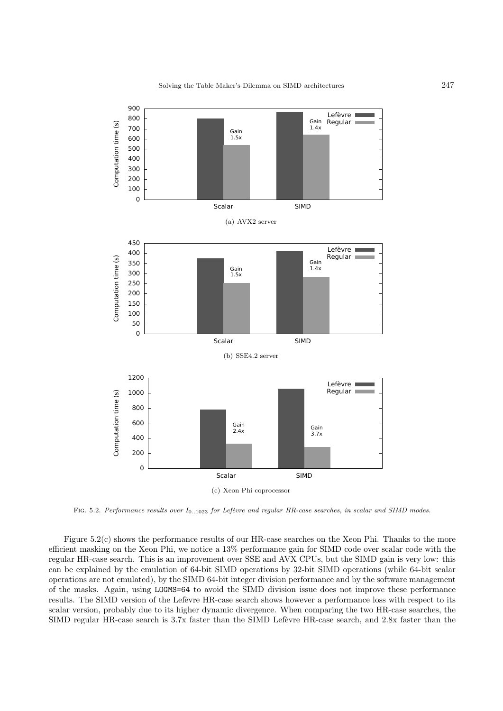

FIG. 5.2. Performance results over  $I_{0..1023}$  for Lefèvre and regular HR-case searches, in scalar and SIMD modes.

Figure 5.2(c) shows the performance results of our HR-case searches on the Xeon Phi. Thanks to the more efficient masking on the Xeon Phi, we notice a 13% performance gain for SIMD code over scalar code with the regular HR-case search. This is an improvement over SSE and AVX CPUs, but the SIMD gain is very low: this can be explained by the emulation of 64-bit SIMD operations by 32-bit SIMD operations (while 64-bit scalar operations are not emulated), by the SIMD 64-bit integer division performance and by the software management of the masks. Again, using LOGMS=64 to avoid the SIMD division issue does not improve these performance results. The SIMD version of the Lefèvre HR-case search shows however a performance loss with respect to its scalar version, probably due to its higher dynamic divergence. When comparing the two HR-case searches, the SIMD regular HR-case search is 3.7x faster than the SIMD Lefèvre HR-case search, and 2.8x faster than the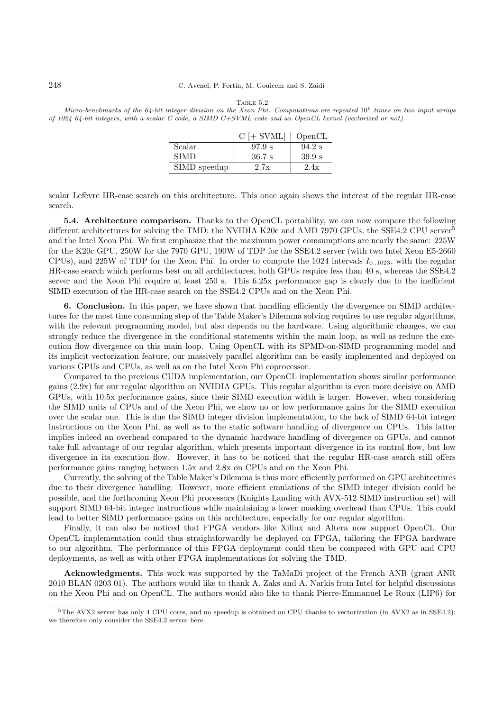#### 248 C. Avenel, P. Fortin, M. Gouicem and S. Zaidi

Micro-benchmarks of the  $64$ -bit integer division on the Xeon Phi. Computations are repeated  $10^6$  times on two input arrays of 1024 64-bit integers, with a scalar C code, a SIMD C+SVML code and an OpenCL kernel (vectorized or not).

|              | $C$ [+ SVML] | OpenCL   |
|--------------|--------------|----------|
| Scalar       | 97.9 s       | $94.2$ s |
| <b>SIMD</b>  | $36.7$ s     | 39.9 s   |
| SIMD speedup | 2.7x         | 2.4x     |

scalar Lefèvre HR-case search on this architecture. This once again shows the interest of the regular HR-case search.

5.4. Architecture comparison. Thanks to the OpenCL portability, we can now compare the following different architectures for solving the TMD: the NVIDIA K20c and AMD 7970 GPUs, the SSE4.2 CPU server<sup>5</sup> and the Intel Xeon Phi. We first emphasize that the maximum power comsumptions are nearly the same: 225W for the K20c GPU, 250W for the 7970 GPU, 190W of TDP for the SSE4.2 server (with two Intel Xeon E5-2660 CPUs), and 225W of TDP for the Xeon Phi. In order to compute the 1024 intervals  $I_{0..1023}$ , with the regular HR-case search which performs best on all architectures, both GPUs require less than 40 s, whereas the SSE4.2 server and the Xeon Phi require at least 250 s. This 6.25x performance gap is clearly due to the inefficient SIMD execution of the HR-case search on the SSE4.2 CPUs and on the Xeon Phi.

6. Conclusion. In this paper, we have shown that handling efficiently the divergence on SIMD architectures for the most time consuming step of the Table Maker's Dilemma solving requires to use regular algorithms, with the relevant programming model, but also depends on the hardware. Using algorithmic changes, we can strongly reduce the divergence in the conditional statements within the main loop, as well as reduce the execution flow divergence on this main loop. Using OpenCL with its SPMD-on-SIMD programming model and its implicit vectorization feature, our massively parallel algorithm can be easily implemented and deployed on various GPUs and CPUs, as well as on the Intel Xeon Phi coprocessor.

Compared to the previous CUDA implementation, our OpenCL implementation shows similar performance gains (2.9x) for our regular algorithm on NVIDIA GPUs. This regular algorithm is even more decisive on AMD GPUs, with 10.5x performance gains, since their SIMD execution width is larger. However, when considering the SIMD units of CPUs and of the Xeon Phi, we show no or low performance gains for the SIMD execution over the scalar one. This is due the SIMD integer division implementation, to the lack of SIMD 64-bit integer instructions on the Xeon Phi, as well as to the static software handling of divergence on CPUs. This latter implies indeed an overhead compared to the dynamic hardware handling of divergence on GPUs, and cannot take full advantage of our regular algorithm, which presents important divergence in its control flow, but low divergence in its execution flow. However, it has to be noticed that the regular HR-case search still offers performance gains ranging between 1.5x and 2.8x on CPUs and on the Xeon Phi.

Currently, the solving of the Table Maker's Dilemma is thus more efficiently performed on GPU architectures due to their divergence handling. However, more efficient emulations of the SIMD integer division could be possible, and the forthcoming Xeon Phi processors (Knights Landing with AVX-512 SIMD instruction set) will support SIMD 64-bit integer instructions while maintaining a lower masking overhead than CPUs. This could lead to better SIMD performance gains on this architecture, especially for our regular algorithm.

Finally, it can also be noticed that FPGA vendors like Xilinx and Altera now support OpenCL. Our OpenCL implementation could thus straightforwardly be deployed on FPGA, tailoring the FPGA hardware to our algorithm. The performance of this FPGA deployment could then be compared with GPU and CPU deployments, as well as with other FPGA implementations for solving the TMD.

Acknowledgments. This work was supported by the TaMaDi project of the French ANR (grant ANR 2010 BLAN 0203 01). The authors would like to thank A. Zaks and A. Narkis from Intel for helpful discussions on the Xeon Phi and on OpenCL. The authors would also like to thank Pierre-Emmanuel Le Roux (LIP6) for

<sup>5</sup>The AVX2 server has only 4 CPU cores, and no speedup is obtained on CPU thanks to vectorization (in AVX2 as in SSE4.2): we therefore only consider the SSE4.2 server here.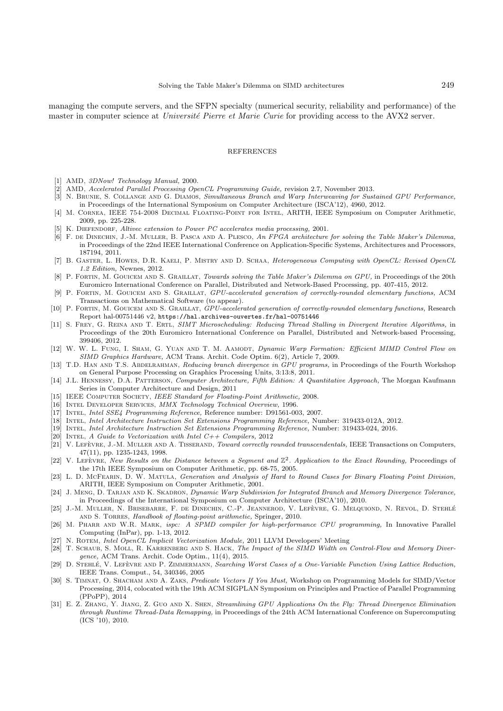managing the compute servers, and the SFPN specialty (numerical security, reliability and performance) of the master in computer science at Université Pierre et Marie Curie for providing access to the AVX2 server.

### **REFERENCES**

- [1] AMD, 3DNow! Technology Manual, 2000.
- [2] AMD, Accelerated Parallel Processing OpenCL Programming Guide, revision 2.7, November 2013.
- [3] N. BRUNIE, S. COLLANGE AND G. DIAMOS, Simultaneous Branch and Warp Interweaving for Sustained GPU Performance, in Proceedings of the International Symposium on Computer Architecture (ISCA'12), 4960, 2012.
- [4] M. Cornea, IEEE 754-2008 Decimal Floating-Point for Intel, ARITH, IEEE Symposium on Computer Arithmetic, 2009, pp. 225-228.
- [5] K. DIEFENDORF, Altivec extension to Power PC accelerates media processing, 2001.
- [6] F. de Dinechin, J.-M. Muller, B. Pasca and A. Plesco, An FPGA architecture for solving the Table Maker's Dilemma, in Proceedings of the 22nd IEEE International Conference on Application-Specific Systems, Architectures and Processors, 187194, 2011.
- [7] B. Gaster, L. Howes, D.R. Kaeli, P. Mistry and D. Schaa, Heterogeneous Computing with OpenCL: Revised OpenCL 1.2 Edition, Newnes, 2012.
- [8] P. FORTIN, M. GOUICEM AND S. GRAILLAT, Towards solving the Table Maker's Dilemma on GPU, in Proceedings of the 20th Euromicro International Conference on Parallel, Distributed and Network-Based Processing, pp. 407-415, 2012.
- [9] P. FORTIN, M. GOUICEM AND S. GRAILLAT, GPU-accelerated generation of correctly-rounded elementary functions, ACM Transactions on Mathematical Software (to appear).
- [10] P. FORTIN, M. GOUICEM AND S. GRAILLAT,  $\dot{G}PU$ -accelerated generation of correctly-rounded elementary functions, Research Report hal-00751446 v2, https://hal.archives-ouvertes.fr/hal-00751446
- [11] S. FREY, G. REINA AND T. ERTL, SIMT Microscheduling: Reducing Thread Stalling in Divergent Iterative Algorithms, in Proceedings of the 20th Euromicro International Conference on Parallel, Distributed and Network-based Processing, 399406, 2012.
- [12] W. W. L. FUNG, I. SHAM, G. YUAN AND T. M. AAMODT, Dynamic Warp Formation: Efficient MIMD Control Flow on SIMD Graphics Hardware, ACM Trans. Archit. Code Optim. 6(2), Article 7, 2009.
- [13] T.D. HAN AND T.S. ABDELRAHMAN, Reducing branch divergence in GPU programs, in Proceedings of the Fourth Workshop on General Purpose Processing on Graphics Processing Units, 3:13:8, 2011.
- [14] J.L. Hennessy, D.A. Patterson, Computer Architecture, Fifth Edition: A Quantitative Approach, The Morgan Kaufmann Series in Computer Architecture and Design, 2011
- [15] IEEE COMPUTER SOCIETY, IEEE Standard for Floating-Point Arithmetic, 2008.
- [16] INTEL DEVELOPER SERVICES, MMX Technology Technical Overview, 1996.
- [17] Intel, Intel SSE4 Programming Reference, Reference number: D91561-003, 2007.
- [18] Intel, Intel Architecture Instruction Set Extensions Programming Reference, Number: 319433-012A, 2012.
- [19] Intel, Intel Architecture Instruction Set Extensions Programming Reference, Number: 319433-024, 2016.
- [20] INTEL, A Guide to Vectorization with Intel  $C++$  Compilers, 2012
- [21] V. LEFÈVRE, J.-M. MULLER AND A. TISSERAND, *Toward correctly rounded transcendentals*, IEEE Transactions on Computers, 47(11), pp. 1235-1243, 1998.
- [22] V. LEFEVRE, New Results on the Distance between a Segment and  $\mathbb{Z}^2$ . Application to the Exact Rounding, Proceedings of the 17th IEEE Symposium on Computer Arithmetic, pp. 68-75, 2005.
- [23] L. D. McFearn, D. W. Matula, Generation and Analysis of Hard to Round Cases for Binary Floating Point Division, ARITH, IEEE Symposium on Computer Arithmetic, 2001.
- [24] J. MENG, D. TARJAN AND K. SKADRON, Dynamic Warp Subdivision for Integrated Branch and Memory Divergence Tolerance, in Proceedings of the International Symposium on Computer Architecture (ISCA'10), 2010.
- [25] J.-M. MULLER, N. BRISEBARRE, F. DE DINECHIN, C.-P. JEANNEROD, V. LEFÈVRE, G. MELQUIOND, N. REVOL, D. STEHLÉ and S. Torres, Handbook of floating-point arithmetic, Springer, 2010.
- [26] M. PHARR AND W.R. MARK, ispc: A SPMD compiler for high-performance CPU programming, In Innovative Parallel Computing (InPar), pp. 1-13, 2012.
- [27] N. Rotem, Intel OpenCL Implicit Vectorization Module, 2011 LLVM Developers' Meeting
- [28] T. SCHAUB, S. MOLL, R. KARRENBERG AND S. HACK, The Impact of the SIMD Width on Control-Flow and Memory Divergence, ACM Trans. Archit. Code Optim., 11(4), 2015.
- [29] D. STEHLÉ, V. LEFÈVRE AND P. ZIMMERMANN, Searching Worst Cases of a One-Variable Function Using Lattice Reduction, IEEE Trans. Comput., 54, 340346, 2005
- [30] S. TIMNAT, O. SHACHAM AND A. ZAKS, Predicate Vectors If You Must, Workshop on Programming Models for SIMD/Vector Processing, 2014, colocated with the 19th ACM SIGPLAN Symposium on Principles and Practice of Parallel Programming (PPoPP), 2014
- [31] E. Z. ZHANG, Y. JIANG, Z. GUO AND X. SHEN, Streamlining GPU Applications On the Fly: Thread Divergence Elimination through Runtime Thread-Data Remapping, in Proceedings of the 24th ACM International Conference on Supercomputing (ICS '10), 2010.